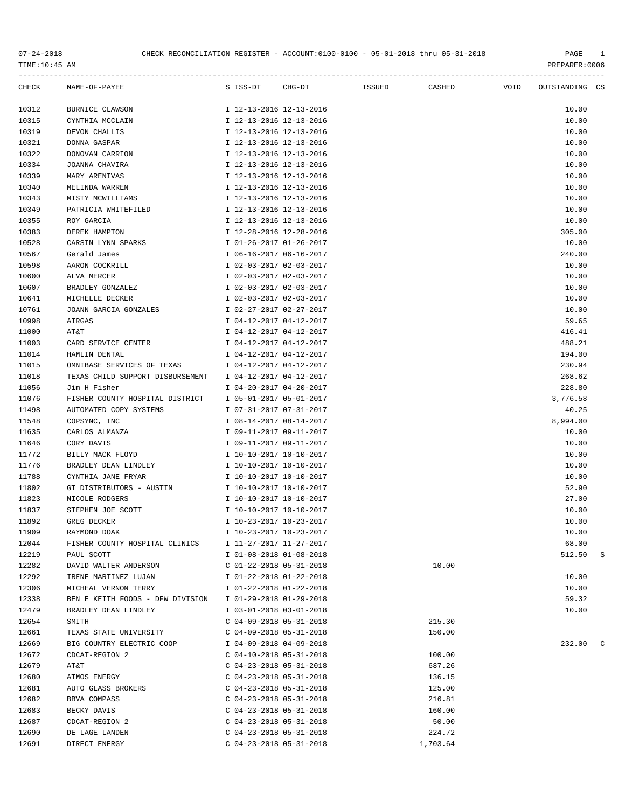| CHECK | NAME-OF-PAYEE                    | S ISS-DT CHG-DT           | <b>Example 15 SUED</b> | <b>CASHED</b> | VOID | OUTSTANDING CS |   |
|-------|----------------------------------|---------------------------|------------------------|---------------|------|----------------|---|
| 10312 | <b>BURNICE CLAWSON</b>           | I 12-13-2016 12-13-2016   |                        |               |      | 10.00          |   |
| 10315 | CYNTHIA MCCLAIN                  | I 12-13-2016 12-13-2016   |                        |               |      | 10.00          |   |
| 10319 | DEVON CHALLIS                    | I 12-13-2016 12-13-2016   |                        |               |      | 10.00          |   |
| 10321 | DONNA GASPAR                     | I 12-13-2016 12-13-2016   |                        |               |      | 10.00          |   |
| 10322 | DONOVAN CARRION                  | I 12-13-2016 12-13-2016   |                        |               |      | 10.00          |   |
| 10334 | JOANNA CHAVIRA                   | I 12-13-2016 12-13-2016   |                        |               |      | 10.00          |   |
| 10339 | MARY ARENIVAS                    | I 12-13-2016 12-13-2016   |                        |               |      | 10.00          |   |
| 10340 | MELINDA WARREN                   | I 12-13-2016 12-13-2016   |                        |               |      | 10.00          |   |
| 10343 | MISTY MCWILLIAMS                 | I 12-13-2016 12-13-2016   |                        |               |      | 10.00          |   |
| 10349 | PATRICIA WHITEFILED              | I 12-13-2016 12-13-2016   |                        |               |      | 10.00          |   |
| 10355 | ROY GARCIA                       | I 12-13-2016 12-13-2016   |                        |               |      | 10.00          |   |
| 10383 | DEREK HAMPTON                    | I 12-28-2016 12-28-2016   |                        |               |      | 305.00         |   |
| 10528 | CARSIN LYNN SPARKS               | I 01-26-2017 01-26-2017   |                        |               |      | 10.00          |   |
| 10567 | Gerald James                     | I 06-16-2017 06-16-2017   |                        |               |      | 240.00         |   |
| 10598 | AARON COCKRILL                   | I 02-03-2017 02-03-2017   |                        |               |      | 10.00          |   |
| 10600 | ALVA MERCER                      | I 02-03-2017 02-03-2017   |                        |               |      | 10.00          |   |
| 10607 | BRADLEY GONZALEZ                 | I 02-03-2017 02-03-2017   |                        |               |      | 10.00          |   |
| 10641 | MICHELLE DECKER                  | I 02-03-2017 02-03-2017   |                        |               |      | 10.00          |   |
| 10761 | JOANN GARCIA GONZALES            | I 02-27-2017 02-27-2017   |                        |               |      | 10.00          |   |
| 10998 | AIRGAS                           | I 04-12-2017 04-12-2017   |                        |               |      | 59.65          |   |
| 11000 | AT&T                             | I 04-12-2017 04-12-2017   |                        |               |      | 416.41         |   |
| 11003 | CARD SERVICE CENTER              | I 04-12-2017 04-12-2017   |                        |               |      | 488.21         |   |
| 11014 | HAMLIN DENTAL                    | I 04-12-2017 04-12-2017   |                        |               |      | 194.00         |   |
| 11015 | OMNIBASE SERVICES OF TEXAS       | I 04-12-2017 04-12-2017   |                        |               |      | 230.94         |   |
| 11018 | TEXAS CHILD SUPPORT DISBURSEMENT | I 04-12-2017 04-12-2017   |                        |               |      | 268.62         |   |
| 11056 | Jim H Fisher                     | I 04-20-2017 04-20-2017   |                        |               |      | 228.80         |   |
| 11076 | FISHER COUNTY HOSPITAL DISTRICT  | I 05-01-2017 05-01-2017   |                        |               |      | 3,776.58       |   |
| 11498 | AUTOMATED COPY SYSTEMS           | I 07-31-2017 07-31-2017   |                        |               |      | 40.25          |   |
| 11548 | COPSYNC, INC                     | I 08-14-2017 08-14-2017   |                        |               |      | 8,994.00       |   |
| 11635 | CARLOS ALMANZA                   | I 09-11-2017 09-11-2017   |                        |               |      | 10.00          |   |
| 11646 | CORY DAVIS                       | I 09-11-2017 09-11-2017   |                        |               |      | 10.00          |   |
| 11772 | BILLY MACK FLOYD                 | I 10-10-2017 10-10-2017   |                        |               |      | 10.00          |   |
| 11776 | BRADLEY DEAN LINDLEY             | I 10-10-2017 10-10-2017   |                        |               |      | 10.00          |   |
| 11788 | CYNTHIA JANE FRYAR               | I 10-10-2017 10-10-2017   |                        |               |      | 10.00          |   |
| 11802 | GT DISTRIBUTORS - AUSTIN         | I 10-10-2017 10-10-2017   |                        |               |      | 52.90          |   |
| 11823 | NICOLE RODGERS                   | I 10-10-2017 10-10-2017   |                        |               |      | 27.00          |   |
| 11837 | STEPHEN JOE SCOTT                | I 10-10-2017 10-10-2017   |                        |               |      | 10.00          |   |
| 11892 | GREG DECKER                      | I 10-23-2017 10-23-2017   |                        |               |      | 10.00          |   |
| 11909 | RAYMOND DOAK                     | I 10-23-2017 10-23-2017   |                        |               |      | 10.00          |   |
| 12044 | FISHER COUNTY HOSPITAL CLINICS   | I 11-27-2017 11-27-2017   |                        |               |      | 68.00          |   |
| 12219 | PAUL SCOTT                       | I 01-08-2018 01-08-2018   |                        |               |      | 512.50         | S |
| 12282 | DAVID WALTER ANDERSON            | $C$ 01-22-2018 05-31-2018 |                        | 10.00         |      |                |   |
| 12292 | IRENE MARTINEZ LUJAN             | I 01-22-2018 01-22-2018   |                        |               |      | 10.00          |   |
| 12306 | MICHEAL VERNON TERRY             | I 01-22-2018 01-22-2018   |                        |               |      | 10.00          |   |
| 12338 | BEN E KEITH FOODS - DFW DIVISION | I 01-29-2018 01-29-2018   |                        |               |      | 59.32          |   |
| 12479 | BRADLEY DEAN LINDLEY             | I 03-01-2018 03-01-2018   |                        |               |      | 10.00          |   |
| 12654 | SMITH                            | $C$ 04-09-2018 05-31-2018 |                        | 215.30        |      |                |   |
| 12661 | TEXAS STATE UNIVERSITY           | $C$ 04-09-2018 05-31-2018 |                        | 150.00        |      |                |   |
| 12669 | BIG COUNTRY ELECTRIC COOP        | I 04-09-2018 04-09-2018   |                        |               |      | 232.00         |   |
| 12672 | CDCAT-REGION 2                   | $C$ 04-10-2018 05-31-2018 |                        | 100.00        |      |                |   |
| 12679 | AT&T                             | $C$ 04-23-2018 05-31-2018 |                        | 687.26        |      |                |   |
| 12680 | ATMOS ENERGY                     | $C$ 04-23-2018 05-31-2018 |                        | 136.15        |      |                |   |
| 12681 | AUTO GLASS BROKERS               | $C$ 04-23-2018 05-31-2018 |                        | 125.00        |      |                |   |
| 12682 | BBVA COMPASS                     | $C$ 04-23-2018 05-31-2018 |                        | 216.81        |      |                |   |
| 12683 | BECKY DAVIS                      | $C$ 04-23-2018 05-31-2018 |                        | 160.00        |      |                |   |
| 12687 | CDCAT-REGION 2                   | $C$ 04-23-2018 05-31-2018 |                        | 50.00         |      |                |   |
| 12690 | DE LAGE LANDEN                   | $C$ 04-23-2018 05-31-2018 |                        | 224.72        |      |                |   |
| 12691 | DIRECT ENERGY                    | $C$ 04-23-2018 05-31-2018 |                        | 1,703.64      |      |                |   |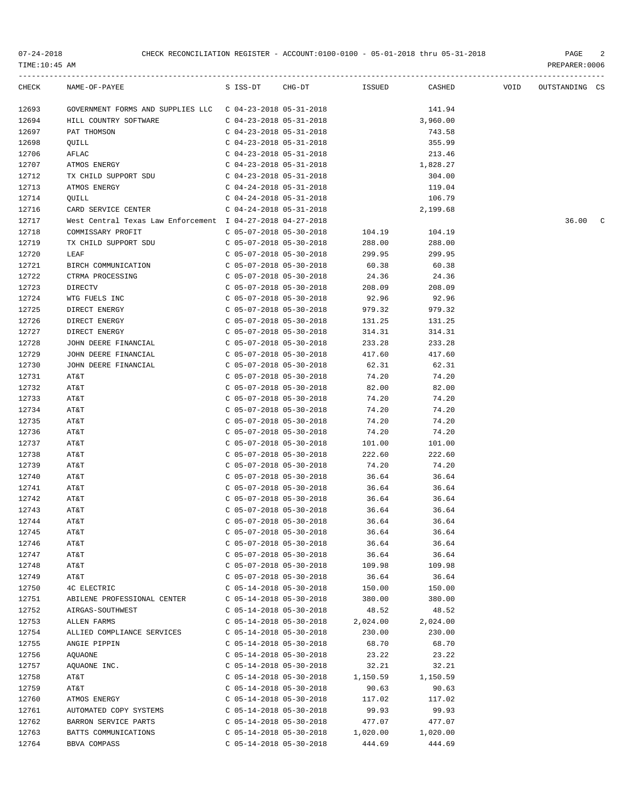| TIME:10:45 AM | $07 - 24 - 2018$<br>CHECK RECONCILIATION REGISTER - ACCOUNT:0100-0100 - 05-01-2018 thru 05-31-2018 |                           |                        |          |          | PAGE<br>2<br>PREPARER:0006 |
|---------------|----------------------------------------------------------------------------------------------------|---------------------------|------------------------|----------|----------|----------------------------|
| CHECK         | NAME-OF-PAYEE                                                                                      |                           | S ISS-DT CHG-DT ISSUED |          | CASHED   | VOID OUTSTANDING CS        |
| 12693         | GOVERNMENT FORMS AND SUPPLIES LLC $\,$ C 04-23-2018 05-31-2018                                     |                           |                        |          | 141.94   |                            |
| 12694         | HILL COUNTRY SOFTWARE                                                                              | C 04-23-2018 05-31-2018   |                        |          | 3,960.00 |                            |
| 12697         | PAT THOMSON                                                                                        | $C$ 04-23-2018 05-31-2018 |                        |          | 743.58   |                            |
| 12698         | QUILL                                                                                              | $C$ 04-23-2018 05-31-2018 |                        |          | 355.99   |                            |
| 12706         | AFLAC                                                                                              | C 04-23-2018 05-31-2018   |                        |          | 213.46   |                            |
| 12707         | ATMOS ENERGY                                                                                       | C 04-23-2018 05-31-2018   |                        |          | 1,828.27 |                            |
| 12712         | TX CHILD SUPPORT SDU                                                                               | C 04-23-2018 05-31-2018   |                        |          | 304.00   |                            |
| 12713         | ATMOS ENERGY                                                                                       | C 04-24-2018 05-31-2018   |                        |          | 119.04   |                            |
| 12714         | QUILL                                                                                              | $C$ 04-24-2018 05-31-2018 |                        |          | 106.79   |                            |
| 12716         | CARD SERVICE CENTER                                                                                | $C$ 04-24-2018 05-31-2018 |                        |          | 2,199.68 |                            |
| 12717         | West Central Texas Law Enforcement I 04-27-2018 04-27-2018                                         |                           |                        |          |          | 36.00<br>$\overline{c}$    |
| 12718         | COMMISSARY PROFIT                                                                                  | C 05-07-2018 05-30-2018   |                        | 104.19   | 104.19   |                            |
| 12719         | TX CHILD SUPPORT SDU                                                                               | C 05-07-2018 05-30-2018   |                        | 288.00   | 288.00   |                            |
| 12720         | LEAF                                                                                               | C 05-07-2018 05-30-2018   |                        | 299.95   | 299.95   |                            |
| 12721         | BIRCH COMMUNICATION                                                                                | $C$ 05-07-2018 05-30-2018 |                        | 60.38    | 60.38    |                            |
| 12722         | CTRMA PROCESSING                                                                                   | C 05-07-2018 05-30-2018   |                        | 24.36    | 24.36    |                            |
| 12723         | <b>DIRECTV</b>                                                                                     | C 05-07-2018 05-30-2018   |                        | 208.09   | 208.09   |                            |
| 12724         | WTG FUELS INC                                                                                      | C 05-07-2018 05-30-2018   |                        | 92.96    | 92.96    |                            |
| 12725         | DIRECT ENERGY                                                                                      | C 05-07-2018 05-30-2018   |                        | 979.32   | 979.32   |                            |
| 12726         | DIRECT ENERGY                                                                                      | $C$ 05-07-2018 05-30-2018 |                        | 131.25   | 131.25   |                            |
| 12727         | DIRECT ENERGY                                                                                      | $C$ 05-07-2018 05-30-2018 |                        | 314.31   | 314.31   |                            |
| 12728         | JOHN DEERE FINANCIAL                                                                               | C 05-07-2018 05-30-2018   |                        | 233.28   | 233.28   |                            |
| 12729         | JOHN DEERE FINANCIAL                                                                               | C 05-07-2018 05-30-2018   |                        | 417.60   | 417.60   |                            |
| 12730         | JOHN DEERE FINANCIAL                                                                               | C 05-07-2018 05-30-2018   |                        | 62.31    | 62.31    |                            |
| 12731         | AT&T                                                                                               | $C$ 05-07-2018 05-30-2018 |                        | 74.20    | 74.20    |                            |
| 12732         | AT&T                                                                                               | $C$ 05-07-2018 05-30-2018 |                        | 82.00    | 82.00    |                            |
| 12733         | AT&T                                                                                               | $C$ 05-07-2018 05-30-2018 |                        | 74.20    | 74.20    |                            |
| 12734         | AT&T                                                                                               | $C$ 05-07-2018 05-30-2018 |                        | 74.20    | 74.20    |                            |
| 12735         | AT&T                                                                                               | $C$ 05-07-2018 05-30-2018 |                        | 74.20    | 74.20    |                            |
| 12736         | AT&T                                                                                               | $C$ 05-07-2018 05-30-2018 |                        | 74.20    | 74.20    |                            |
| 12737         | AT&T                                                                                               | $C$ 05-07-2018 05-30-2018 |                        | 101.00   | 101.00   |                            |
| 12738         | AT&T                                                                                               | $C$ 05-07-2018 05-30-2018 |                        | 222.60   | 222.60   |                            |
| 12739         | AT&T                                                                                               | $C$ 05-07-2018 05-30-2018 |                        | 74.20    | 74.20    |                            |
| 12740         | AT&T                                                                                               | $C$ 05-07-2018 05-30-2018 |                        | 36.64    | 36.64    |                            |
| 12741         | AT&T                                                                                               | $C$ 05-07-2018 05-30-2018 |                        | 36.64    | 36.64    |                            |
| 12742         | AT&T                                                                                               | $C$ 05-07-2018 05-30-2018 |                        | 36.64    | 36.64    |                            |
| 12743         | AT&T                                                                                               | $C$ 05-07-2018 05-30-2018 |                        | 36.64    | 36.64    |                            |
| 12744         | AT&T                                                                                               | $C$ 05-07-2018 05-30-2018 |                        | 36.64    | 36.64    |                            |
| 12745         | AT&T                                                                                               | $C$ 05-07-2018 05-30-2018 |                        | 36.64    | 36.64    |                            |
| 12746         | AT&T                                                                                               | $C$ 05-07-2018 05-30-2018 |                        | 36.64    | 36.64    |                            |
| 12747         | AT&T                                                                                               | $C$ 05-07-2018 05-30-2018 |                        | 36.64    | 36.64    |                            |
| 12748         | AT&T                                                                                               | $C$ 05-07-2018 05-30-2018 |                        | 109.98   | 109.98   |                            |
| 12749         | AT&T                                                                                               | $C$ 05-07-2018 05-30-2018 |                        | 36.64    | 36.64    |                            |
| 12750         | 4C ELECTRIC                                                                                        | $C$ 05-14-2018 05-30-2018 |                        | 150.00   | 150.00   |                            |
| 12751         | ABILENE PROFESSIONAL CENTER                                                                        | $C$ 05-14-2018 05-30-2018 |                        | 380.00   | 380.00   |                            |
| 12752         | AIRGAS-SOUTHWEST                                                                                   | $C$ 05-14-2018 05-30-2018 |                        | 48.52    | 48.52    |                            |
| 12753         | ALLEN FARMS                                                                                        | $C$ 05-14-2018 05-30-2018 |                        | 2,024.00 | 2,024.00 |                            |
| 12754         | ALLIED COMPLIANCE SERVICES                                                                         | $C$ 05-14-2018 05-30-2018 |                        | 230.00   | 230.00   |                            |
| 12755         | ANGIE PIPPIN                                                                                       | $C$ 05-14-2018 05-30-2018 |                        | 68.70    | 68.70    |                            |
| 12756         | AQUAONE                                                                                            | $C$ 05-14-2018 05-30-2018 |                        | 23.22    | 23.22    |                            |
| 12757         | AQUAONE INC.                                                                                       | $C$ 05-14-2018 05-30-2018 |                        | 32.21    | 32.21    |                            |
| 12758         | AT&T                                                                                               | $C$ 05-14-2018 05-30-2018 |                        | 1,150.59 | 1,150.59 |                            |
| 12759         | AT&T                                                                                               | $C$ 05-14-2018 05-30-2018 |                        | 90.63    | 90.63    |                            |
| 12760         | ATMOS ENERGY                                                                                       | $C$ 05-14-2018 05-30-2018 |                        | 117.02   | 117.02   |                            |
| 12761         | AUTOMATED COPY SYSTEMS                                                                             | $C$ 05-14-2018 05-30-2018 |                        | 99.93    | 99.93    |                            |

12762 BARRON SERVICE PARTS C 05-14-2018 05-30-2018 477.07 477.07 12763 BATTS COMMUNICATIONS C 05-14-2018 05-30-2018 1,020.00 1,020.00 12764 BBVA COMPASS C 05-14-2018 05-30-2018 444.69 444.69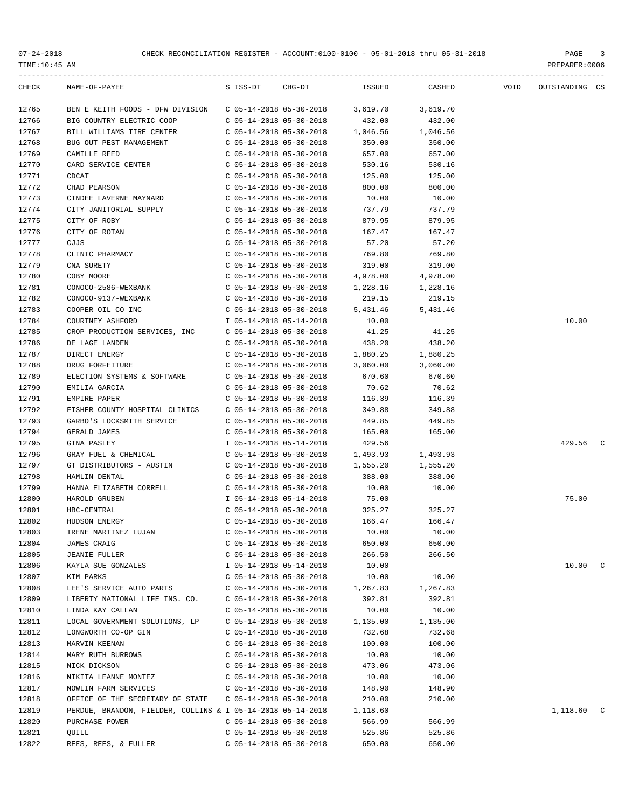| CHECK | NAME-OF-PAYEE                                               | S ISS-DT                  | $CHG-DT$ | ISSUED   | CASHED   | <b>VOID</b> | OUTSTANDING CS |  |
|-------|-------------------------------------------------------------|---------------------------|----------|----------|----------|-------------|----------------|--|
| 12765 | BEN E KEITH FOODS - DFW DIVISION                            | C 05-14-2018 05-30-2018   |          | 3,619.70 | 3,619.70 |             |                |  |
| 12766 | BIG COUNTRY ELECTRIC COOP                                   | $C$ 05-14-2018 05-30-2018 |          | 432.00   | 432.00   |             |                |  |
| 12767 | BILL WILLIAMS TIRE CENTER                                   | $C$ 05-14-2018 05-30-2018 |          | 1,046.56 | 1,046.56 |             |                |  |
| 12768 | BUG OUT PEST MANAGEMENT                                     | $C$ 05-14-2018 05-30-2018 |          | 350.00   | 350.00   |             |                |  |
| 12769 | CAMILLE REED                                                | $C$ 05-14-2018 05-30-2018 |          | 657.00   | 657.00   |             |                |  |
| 12770 | CARD SERVICE CENTER                                         | $C$ 05-14-2018 05-30-2018 |          | 530.16   | 530.16   |             |                |  |
| 12771 | <b>CDCAT</b>                                                | $C$ 05-14-2018 05-30-2018 |          | 125.00   | 125.00   |             |                |  |
| 12772 | CHAD PEARSON                                                | $C$ 05-14-2018 05-30-2018 |          | 800.00   | 800.00   |             |                |  |
| 12773 | CINDEE LAVERNE MAYNARD                                      | $C$ 05-14-2018 05-30-2018 |          | 10.00    | 10.00    |             |                |  |
| 12774 | CITY JANITORIAL SUPPLY                                      | C 05-14-2018 05-30-2018   |          | 737.79   | 737.79   |             |                |  |
| 12775 | CITY OF ROBY                                                | $C$ 05-14-2018 05-30-2018 |          | 879.95   | 879.95   |             |                |  |
| 12776 | CITY OF ROTAN                                               | C 05-14-2018 05-30-2018   |          | 167.47   | 167.47   |             |                |  |
| 12777 | CJJS                                                        | C 05-14-2018 05-30-2018   |          | 57.20    | 57.20    |             |                |  |
| 12778 | CLINIC PHARMACY                                             | C 05-14-2018 05-30-2018   |          | 769.80   | 769.80   |             |                |  |
| 12779 | CNA SURETY                                                  | $C$ 05-14-2018 05-30-2018 |          | 319.00   | 319.00   |             |                |  |
| 12780 | COBY MOORE                                                  | $C$ 05-14-2018 05-30-2018 |          | 4,978.00 | 4,978.00 |             |                |  |
| 12781 | CONOCO-2586-WEXBANK                                         | $C$ 05-14-2018 05-30-2018 |          | 1,228.16 | 1,228.16 |             |                |  |
| 12782 | CONOCO-9137-WEXBANK                                         | $C$ 05-14-2018 05-30-2018 |          | 219.15   | 219.15   |             |                |  |
| 12783 | COOPER OIL CO INC                                           | $C$ 05-14-2018 05-30-2018 |          | 5,431.46 | 5,431.46 |             |                |  |
| 12784 | COURTNEY ASHFORD                                            | I 05-14-2018 05-14-2018   |          | 10.00    |          |             | 10.00          |  |
| 12785 | CROP PRODUCTION SERVICES, INC                               | C 05-14-2018 05-30-2018   |          | 41.25    | 41.25    |             |                |  |
| 12786 | DE LAGE LANDEN                                              | $C$ 05-14-2018 05-30-2018 |          | 438.20   | 438.20   |             |                |  |
| 12787 | DIRECT ENERGY                                               | $C$ 05-14-2018 05-30-2018 |          | 1,880.25 | 1,880.25 |             |                |  |
| 12788 | DRUG FORFEITURE                                             | $C$ 05-14-2018 05-30-2018 |          | 3,060.00 | 3,060.00 |             |                |  |
| 12789 | ELECTION SYSTEMS & SOFTWARE                                 | $C$ 05-14-2018 05-30-2018 |          | 670.60   | 670.60   |             |                |  |
| 12790 | EMILIA GARCIA                                               | $C$ 05-14-2018 05-30-2018 |          | 70.62    | 70.62    |             |                |  |
| 12791 | EMPIRE PAPER                                                | $C$ 05-14-2018 05-30-2018 |          | 116.39   | 116.39   |             |                |  |
| 12792 | FISHER COUNTY HOSPITAL CLINICS                              | $C$ 05-14-2018 05-30-2018 |          | 349.88   | 349.88   |             |                |  |
| 12793 | GARBO'S LOCKSMITH SERVICE                                   | $C$ 05-14-2018 05-30-2018 |          | 449.85   | 449.85   |             |                |  |
| 12794 | GERALD JAMES                                                | $C$ 05-14-2018 05-30-2018 |          | 165.00   | 165.00   |             |                |  |
| 12795 | <b>GINA PASLEY</b>                                          | I 05-14-2018 05-14-2018   |          | 429.56   |          |             | 429.56         |  |
| 12796 | GRAY FUEL & CHEMICAL                                        | $C$ 05-14-2018 05-30-2018 |          | 1,493.93 | 1,493.93 |             |                |  |
| 12797 | GT DISTRIBUTORS - AUSTIN                                    | $C$ 05-14-2018 05-30-2018 |          | 1,555.20 | 1,555.20 |             |                |  |
| 12798 | HAMLIN DENTAL                                               | $C$ 05-14-2018 05-30-2018 |          | 388.00   | 388.00   |             |                |  |
| 12799 | HANNA ELIZABETH CORRELL                                     | C 05-14-2018 05-30-2018   |          | 10.00    | 10.00    |             |                |  |
| 12800 | HAROLD GRUBEN                                               | I 05-14-2018 05-14-2018   |          | 75.00    |          |             | 75.00          |  |
| 12801 | HBC-CENTRAL                                                 | C 05-14-2018 05-30-2018   |          | 325.27   | 325.27   |             |                |  |
| 12802 | HUDSON ENERGY                                               | $C$ 05-14-2018 05-30-2018 |          | 166.47   | 166.47   |             |                |  |
| 12803 | IRENE MARTINEZ LUJAN                                        | $C$ 05-14-2018 05-30-2018 |          | 10.00    | 10.00    |             |                |  |
| 12804 | JAMES CRAIG                                                 | $C$ 05-14-2018 05-30-2018 |          | 650.00   | 650.00   |             |                |  |
| 12805 | <b>JEANIE FULLER</b>                                        | $C$ 05-14-2018 05-30-2018 |          | 266.50   | 266.50   |             |                |  |
| 12806 | KAYLA SUE GONZALES                                          | I 05-14-2018 05-14-2018   |          | 10.00    |          |             | 10.00 C        |  |
| 12807 | KIM PARKS                                                   | C 05-14-2018 05-30-2018   |          | 10.00    | 10.00    |             |                |  |
| 12808 | LEE'S SERVICE AUTO PARTS                                    | $C$ 05-14-2018 05-30-2018 |          | 1,267.83 | 1,267.83 |             |                |  |
| 12809 | LIBERTY NATIONAL LIFE INS. CO.                              | $C$ 05-14-2018 05-30-2018 |          | 392.81   | 392.81   |             |                |  |
| 12810 | LINDA KAY CALLAN                                            | $C$ 05-14-2018 05-30-2018 |          | 10.00    | 10.00    |             |                |  |
| 12811 | LOCAL GOVERNMENT SOLUTIONS, LP                              | C 05-14-2018 05-30-2018   |          | 1,135.00 | 1,135.00 |             |                |  |
| 12812 | LONGWORTH CO-OP GIN                                         | $C$ 05-14-2018 05-30-2018 |          | 732.68   | 732.68   |             |                |  |
| 12813 | MARVIN KEENAN                                               | $C$ 05-14-2018 05-30-2018 |          | 100.00   | 100.00   |             |                |  |
| 12814 | MARY RUTH BURROWS                                           | $C$ 05-14-2018 05-30-2018 |          | 10.00    | 10.00    |             |                |  |
| 12815 | NICK DICKSON                                                | $C$ 05-14-2018 05-30-2018 |          | 473.06   | 473.06   |             |                |  |
| 12816 | NIKITA LEANNE MONTEZ                                        | $C$ 05-14-2018 05-30-2018 |          | 10.00    | 10.00    |             |                |  |
| 12817 | NOWLIN FARM SERVICES                                        | $C$ 05-14-2018 05-30-2018 |          | 148.90   | 148.90   |             |                |  |
| 12818 | OFFICE OF THE SECRETARY OF STATE                            | C 05-14-2018 05-30-2018   |          | 210.00   | 210.00   |             |                |  |
| 12819 | PERDUE, BRANDON, FIELDER, COLLINS & I 05-14-2018 05-14-2018 |                           |          | 1,118.60 |          |             | 1,118.60 C     |  |
| 12820 | PURCHASE POWER                                              | $C$ 05-14-2018 05-30-2018 |          | 566.99   | 566.99   |             |                |  |
| 12821 | QUILL                                                       | $C$ 05-14-2018 05-30-2018 |          | 525.86   | 525.86   |             |                |  |
| 12822 | REES, REES, & FULLER                                        | C 05-14-2018 05-30-2018   |          | 650.00   | 650.00   |             |                |  |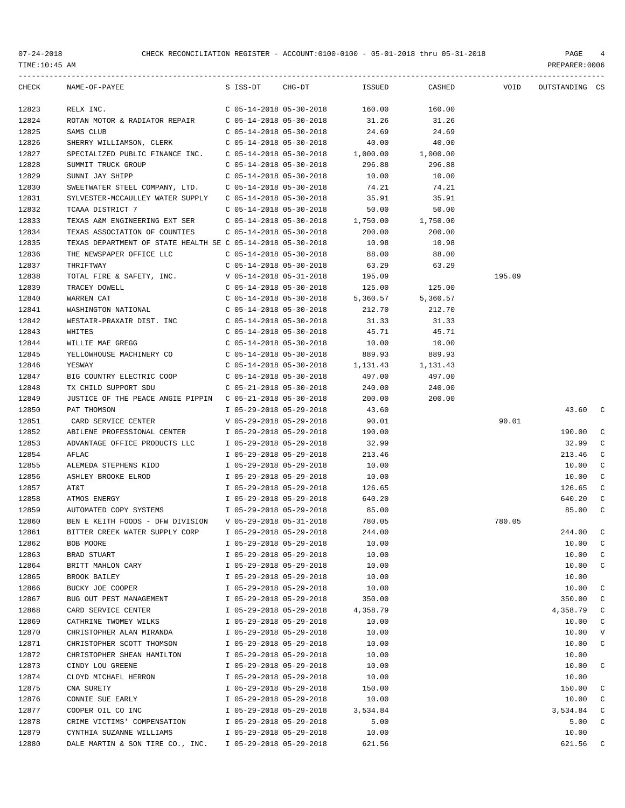| TIME:10:45 AM  |                                                                           |                           |                         |                       |          |        | PREPARER: 0006 |              |
|----------------|---------------------------------------------------------------------------|---------------------------|-------------------------|-----------------------|----------|--------|----------------|--------------|
| CHECK          | NAME-OF-PAYEE                                                             | S ISS-DT                  | CHG-DT                  | ISSUED                | CASHED   | VOID   | OUTSTANDING CS |              |
| 12823          | RELX INC.                                                                 | C 05-14-2018 05-30-2018   |                         | 160.00                | 160.00   |        |                |              |
| 12824          | ROTAN MOTOR & RADIATOR REPAIR                                             | C 05-14-2018 05-30-2018   |                         | 31.26                 | 31.26    |        |                |              |
| 12825          | SAMS CLUB                                                                 | C 05-14-2018 05-30-2018   |                         | 24.69                 | 24.69    |        |                |              |
| 12826          | SHERRY WILLIAMSON, CLERK                                                  | C 05-14-2018 05-30-2018   |                         | 40.00                 | 40.00    |        |                |              |
| 12827          | SPECIALIZED PUBLIC FINANCE INC. C 05-14-2018 05-30-2018 1,000.00 1,000.00 |                           |                         |                       |          |        |                |              |
| 12828          | SUMMIT TRUCK GROUP                                                        | C 05-14-2018 05-30-2018   |                         | 296.88                | 296.88   |        |                |              |
| 12829          | SUNNI JAY SHIPP                                                           | C 05-14-2018 05-30-2018   |                         | 10.00                 | 10.00    |        |                |              |
| 12830          | SWEETWATER STEEL COMPANY, LTD.                                            | C 05-14-2018 05-30-2018   |                         | 74.21                 | 74.21    |        |                |              |
| 12831          | SYLVESTER-MCCAULLEY WATER SUPPLY C 05-14-2018 05-30-2018                  |                           |                         | 35.91                 | 35.91    |        |                |              |
| 12832          | TCAAA DISTRICT 7                                                          | C 05-14-2018 05-30-2018   |                         | 50.00                 | 50.00    |        |                |              |
| 12833          | TEXAS A&M ENGINEERING EXT SER C 05-14-2018 05-30-2018 1,750.00            |                           |                         |                       | 1,750.00 |        |                |              |
| 12834          | TEXAS ASSOCIATION OF COUNTIES                                             | C 05-14-2018 05-30-2018   |                         | 200.00                | 200.00   |        |                |              |
| 12835          | TEXAS DEPARTMENT OF STATE HEALTH SE C 05-14-2018 05-30-2018               |                           |                         | 10.98                 | 10.98    |        |                |              |
| 12836          | THE NEWSPAPER OFFICE LLC                                                  | $C$ 05-14-2018 05-30-2018 |                         | 88.00                 | 88.00    |        |                |              |
| 12837          | THRIFTWAY                                                                 | $C$ 05-14-2018 05-30-2018 |                         | 63.29                 | 63.29    |        |                |              |
| 12838          | TOTAL FIRE & SAFETY, INC.                                                 |                           | V 05-14-2018 05-31-2018 | 195.09                |          | 195.09 |                |              |
| 12839          | TRACEY DOWELL                                                             |                           | C 05-14-2018 05-30-2018 | 125.00                | 125.00   |        |                |              |
| 12840          | WARREN CAT                                                                |                           | C 05-14-2018 05-30-2018 | 5,360.57              | 5,360.57 |        |                |              |
| 12841          | WASHINGTON NATIONAL                                                       | C 05-14-2018 05-30-2018   |                         | 212.70                | 212.70   |        |                |              |
| 12842          | WESTAIR-PRAXAIR DIST. INC                                                 | C 05-14-2018 05-30-2018   |                         | 31.33                 | 31.33    |        |                |              |
| 12843          | WHITES                                                                    | C 05-14-2018 05-30-2018   |                         | 45.71                 | 45.71    |        |                |              |
| 12844          | WILLIE MAE GREGG                                                          | C 05-14-2018 05-30-2018   |                         | 10.00                 | 10.00    |        |                |              |
| 12845          | YELLOWHOUSE MACHINERY CO                                                  | C 05-14-2018 05-30-2018   |                         | 889.93                | 889.93   |        |                |              |
| 12846          | YESWAY                                                                    | C 05-14-2018 05-30-2018   |                         | 1, 131. 43 1, 131. 43 |          |        |                |              |
| 12847          | BIG COUNTRY ELECTRIC COOP                                                 | C 05-14-2018 05-30-2018   |                         | 497.00                | 497.00   |        |                |              |
| 12848          | TX CHILD SUPPORT SDU                                                      | C 05-21-2018 05-30-2018   |                         | 240.00                | 240.00   |        |                |              |
| 12849          | JUSTICE OF THE PEACE ANGIE PIPPIN C 05-21-2018 05-30-2018                 |                           |                         | 200.00                | 200.00   |        |                |              |
| 12850          | PAT THOMSON                                                               | I 05-29-2018 05-29-2018   |                         | 43.60                 |          |        | 43.60 C        |              |
| 12851          | CARD SERVICE CENTER                                                       | V 05-29-2018 05-29-2018   |                         | 90.01                 |          | 90.01  |                |              |
| 12852          | ABILENE PROFESSIONAL CENTER                                               | I 05-29-2018 05-29-2018   |                         | 190.00                |          |        | 190.00 C       |              |
| 12853          | ADVANTAGE OFFICE PRODUCTS LLC                                             | I 05-29-2018 05-29-2018   |                         | 32.99                 |          |        | 32.99 C        |              |
| 12854          | AFLAC                                                                     | I 05-29-2018 05-29-2018   |                         | 213.46                |          |        | 213.46 C       |              |
| 12855          | ALEMEDA STEPHENS KIDD                                                     | I 05-29-2018 05-29-2018   |                         | 10.00                 |          |        | $10.00 \t C$   |              |
| 12856          | ASHLEY BROOKE ELROD                                                       | I 05-29-2018 05-29-2018   |                         | 10.00                 |          |        | $10.00 \t C$   |              |
| 12857          | AT&T                                                                      | I 05-29-2018 05-29-2018   |                         | 126.65                |          |        | $126.65$ C     |              |
| 12858          | ATMOS ENERGY                                                              | I 05-29-2018 05-29-2018   |                         | 640.20                |          |        | 640.20 C       |              |
| 12859          | AUTOMATED COPY SYSTEMS                                                    | I 05-29-2018 05-29-2018   |                         | 85.00                 |          |        | 85.00          | $\mathbb{C}$ |
| 12860          | BEN E KEITH FOODS - DFW DIVISION                                          | V 05-29-2018 05-31-2018   |                         | 780.05                |          | 780.05 |                |              |
| 12861          | BITTER CREEK WATER SUPPLY CORP                                            | I 05-29-2018 05-29-2018   |                         | 244.00                |          |        | 244.00         | C            |
| 12862          | BOB MOORE                                                                 | I 05-29-2018 05-29-2018   |                         | 10.00                 |          |        | 10.00          | C            |
| 12863          | BRAD STUART                                                               | I 05-29-2018 05-29-2018   |                         | 10.00                 |          |        | 10.00          | $\mathbb{C}$ |
| 12864          | BRITT MAHLON CARY                                                         | I 05-29-2018 05-29-2018   |                         | 10.00                 |          |        | 10.00          | $\mathbb{C}$ |
| 12865          | BROOK BAILEY                                                              | I 05-29-2018 05-29-2018   |                         | 10.00                 |          |        | 10.00          |              |
| 12866          | BUCKY JOE COOPER                                                          | I 05-29-2018 05-29-2018   |                         | 10.00                 |          |        | 10.00          | C            |
| 12867          | BUG OUT PEST MANAGEMENT                                                   | I 05-29-2018 05-29-2018   |                         | 350.00                |          |        | 350.00         | C            |
| 12868          | CARD SERVICE CENTER                                                       | I 05-29-2018 05-29-2018   |                         |                       |          |        |                | C            |
| 12869          | CATHRINE TWOMEY WILKS                                                     |                           |                         | 4,358.79              |          |        | 4,358.79       | $\mathbf C$  |
|                |                                                                           | I 05-29-2018 05-29-2018   |                         | 10.00<br>10.00        |          |        | 10.00<br>10.00 | $\mathbf{V}$ |
| 12870          | CHRISTOPHER ALAN MIRANDA                                                  | I 05-29-2018 05-29-2018   |                         |                       |          |        |                |              |
| 12871<br>12872 | CHRISTOPHER SCOTT THOMSON                                                 | I 05-29-2018 05-29-2018   |                         | 10.00                 |          |        | 10.00          | $\mathsf{C}$ |
|                | CHRISTOPHER SHEAN HAMILTON                                                | I 05-29-2018 05-29-2018   |                         | 10.00                 |          |        | 10.00          |              |
| 12873          | CINDY LOU GREENE                                                          | I 05-29-2018 05-29-2018   |                         | 10.00                 |          |        | 10.00          | C            |
| 12874          | CLOYD MICHAEL HERRON                                                      | I 05-29-2018 05-29-2018   |                         | 10.00                 |          |        | 10.00          |              |
| 12875          | CNA SURETY                                                                | I 05-29-2018 05-29-2018   |                         | 150.00                |          |        | 150.00         | C            |
| 12876          | CONNIE SUE EARLY                                                          | I 05-29-2018 05-29-2018   |                         | 10.00                 |          |        | 10.00          | C            |
| 12877          | COOPER OIL CO INC                                                         | I 05-29-2018 05-29-2018   |                         | 3,534.84              |          |        | 3,534.84 C     |              |
| 12878          | CRIME VICTIMS' COMPENSATION                                               | I 05-29-2018 05-29-2018   |                         | 5.00                  |          |        | 5.00           | $\mathbf C$  |
| 12879          | CYNTHIA SUZANNE WILLIAMS                                                  | I 05-29-2018 05-29-2018   |                         | 10.00                 |          |        | 10.00          |              |
| 12880          | DALE MARTIN & SON TIRE CO., INC. I 05-29-2018 05-29-2018                  |                           |                         | 621.56                |          |        | 621.56         | C            |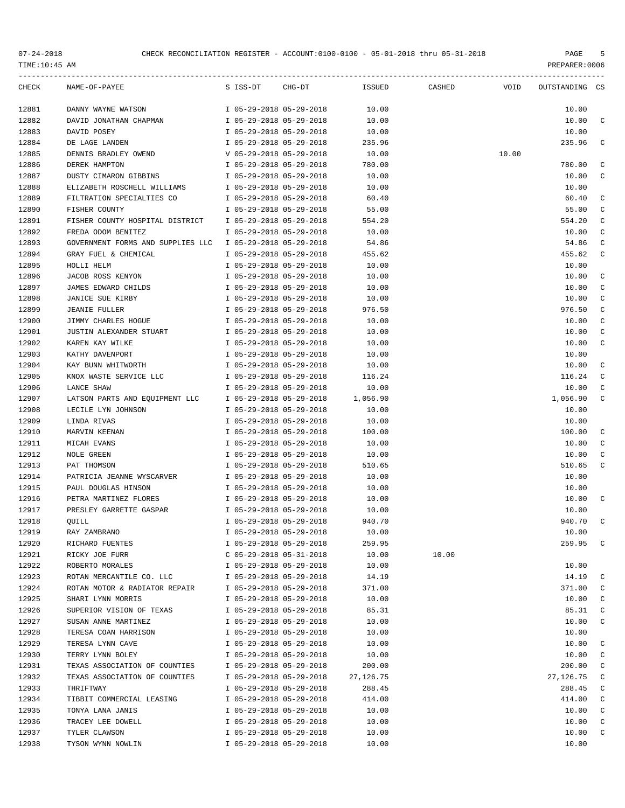| CHECK | NAME-OF-PAYEE                     | S ISS-DT CHG-DT           | ISSUED    | CASHED | <b>Example 19 YOID</b> | OUTSTANDING CS |              |
|-------|-----------------------------------|---------------------------|-----------|--------|------------------------|----------------|--------------|
| 12881 | DANNY WAYNE WATSON                | I 05-29-2018 05-29-2018   | 10.00     |        |                        | 10.00          |              |
| 12882 | DAVID JONATHAN CHAPMAN            | I 05-29-2018 05-29-2018   | 10.00     |        |                        | 10.00          | C            |
| 12883 | DAVID POSEY                       | I 05-29-2018 05-29-2018   | 10.00     |        |                        | 10.00          |              |
| 12884 | DE LAGE LANDEN                    | I 05-29-2018 05-29-2018   | 235.96    |        |                        | 235.96         | C            |
| 12885 | DENNIS BRADLEY OWEND              | V 05-29-2018 05-29-2018   | 10.00     |        | 10.00                  |                |              |
| 12886 | DEREK HAMPTON                     | I 05-29-2018 05-29-2018   | 780.00    |        |                        | 780.00         | C            |
| 12887 | DUSTY CIMARON GIBBINS             | I 05-29-2018 05-29-2018   | 10.00     |        |                        | 10.00          | C            |
| 12888 | ELIZABETH ROSCHELL WILLIAMS       | I 05-29-2018 05-29-2018   | 10.00     |        |                        | 10.00          |              |
| 12889 | FILTRATION SPECIALTIES CO         | I 05-29-2018 05-29-2018   | 60.40     |        |                        | 60.40          | C            |
| 12890 | FISHER COUNTY                     | I 05-29-2018 05-29-2018   | 55.00     |        |                        | 55.00          | C            |
| 12891 | FISHER COUNTY HOSPITAL DISTRICT   | I 05-29-2018 05-29-2018   | 554.20    |        |                        | 554.20         | C            |
| 12892 | FREDA ODOM BENITEZ                | I 05-29-2018 05-29-2018   | 10.00     |        |                        | 10.00          | C            |
| 12893 | GOVERNMENT FORMS AND SUPPLIES LLC | I 05-29-2018 05-29-2018   | 54.86     |        |                        | 54.86          | C            |
| 12894 | GRAY FUEL & CHEMICAL              | I 05-29-2018 05-29-2018   | 455.62    |        |                        | 455.62         | C            |
| 12895 | HOLLI HELM                        | I 05-29-2018 05-29-2018   | 10.00     |        |                        | 10.00          |              |
| 12896 | JACOB ROSS KENYON                 | I 05-29-2018 05-29-2018   | 10.00     |        |                        | 10.00          | C            |
| 12897 | JAMES EDWARD CHILDS               | I 05-29-2018 05-29-2018   | 10.00     |        |                        | 10.00          | C            |
| 12898 | <b>JANICE SUE KIRBY</b>           | I 05-29-2018 05-29-2018   | 10.00     |        |                        | 10.00          | C            |
| 12899 | <b>JEANIE FULLER</b>              | I 05-29-2018 05-29-2018   | 976.50    |        |                        | 976.50         | C            |
| 12900 | JIMMY CHARLES HOGUE               | I 05-29-2018 05-29-2018   | 10.00     |        |                        | 10.00          | C            |
| 12901 | JUSTIN ALEXANDER STUART           | I 05-29-2018 05-29-2018   | 10.00     |        |                        | 10.00          | C            |
| 12902 | KAREN KAY WILKE                   | I 05-29-2018 05-29-2018   | 10.00     |        |                        | 10.00          | C            |
| 12903 | KATHY DAVENPORT                   | I 05-29-2018 05-29-2018   | 10.00     |        |                        | 10.00          |              |
| 12904 | KAY BUNN WHITWORTH                | I 05-29-2018 05-29-2018   | 10.00     |        |                        | 10.00          | C            |
| 12905 | KNOX WASTE SERVICE LLC            | I 05-29-2018 05-29-2018   | 116.24    |        |                        | 116.24         | C            |
| 12906 | LANCE SHAW                        | I 05-29-2018 05-29-2018   | 10.00     |        |                        | 10.00          | C            |
| 12907 | LATSON PARTS AND EQUIPMENT LLC    | I 05-29-2018 05-29-2018   | 1,056.90  |        |                        | 1,056.90       | C            |
| 12908 | LECILE LYN JOHNSON                | I 05-29-2018 05-29-2018   | 10.00     |        |                        | 10.00          |              |
| 12909 | LINDA RIVAS                       | I 05-29-2018 05-29-2018   | 10.00     |        |                        | 10.00          |              |
| 12910 | MARVIN KEENAN                     | I 05-29-2018 05-29-2018   | 100.00    |        |                        | 100.00         | C            |
| 12911 | MICAH EVANS                       | I 05-29-2018 05-29-2018   | 10.00     |        |                        | 10.00          | C            |
| 12912 | NOLE GREEN                        | I 05-29-2018 05-29-2018   | 10.00     |        |                        | 10.00          | C            |
| 12913 | PAT THOMSON                       | I 05-29-2018 05-29-2018   | 510.65    |        |                        | 510.65         | C            |
| 12914 | PATRICIA JEANNE WYSCARVER         | I 05-29-2018 05-29-2018   | 10.00     |        |                        | 10.00          |              |
| 12915 | PAUL DOUGLAS HINSON               | I 05-29-2018 05-29-2018   | 10.00     |        |                        | 10.00          |              |
| 12916 | PETRA MARTINEZ FLORES             | I 05-29-2018 05-29-2018   | 10.00     |        |                        | 10.00          | C            |
| 12917 | PRESLEY GARRETTE GASPAR           | I 05-29-2018 05-29-2018   | 10.00     |        |                        | 10.00          |              |
| 12918 | QUILL                             | I 05-29-2018 05-29-2018   | 940.70    |        |                        | 940.70         | C            |
| 12919 | RAY ZAMBRANO                      | I 05-29-2018 05-29-2018   | 10.00     |        |                        | 10.00          |              |
| 12920 | RICHARD FUENTES                   | I 05-29-2018 05-29-2018   | 259.95    |        |                        | 259.95         | C            |
| 12921 | RICKY JOE FURR                    | $C$ 05-29-2018 05-31-2018 | 10.00     | 10.00  |                        |                |              |
| 12922 | ROBERTO MORALES                   | I 05-29-2018 05-29-2018   | 10.00     |        |                        | 10.00          |              |
| 12923 | ROTAN MERCANTILE CO. LLC          | I 05-29-2018 05-29-2018   | 14.19     |        |                        | 14.19          | C            |
| 12924 | ROTAN MOTOR & RADIATOR REPAIR     | I 05-29-2018 05-29-2018   | 371.00    |        |                        | 371.00         | C            |
| 12925 | SHARI LYNN MORRIS                 | I 05-29-2018 05-29-2018   | 10.00     |        |                        | 10.00          | C            |
| 12926 | SUPERIOR VISION OF TEXAS          | I 05-29-2018 05-29-2018   | 85.31     |        |                        | 85.31          | C            |
| 12927 | SUSAN ANNE MARTINEZ               | I 05-29-2018 05-29-2018   | 10.00     |        |                        | 10.00          | C            |
| 12928 | TERESA COAN HARRISON              | I 05-29-2018 05-29-2018   | 10.00     |        |                        | 10.00          |              |
| 12929 | TERESA LYNN CAVE                  | I 05-29-2018 05-29-2018   | 10.00     |        |                        | 10.00          | C            |
| 12930 | TERRY LYNN BOLEY                  | I 05-29-2018 05-29-2018   | 10.00     |        |                        | 10.00          | C            |
| 12931 | TEXAS ASSOCIATION OF COUNTIES     | I 05-29-2018 05-29-2018   | 200.00    |        |                        | 200.00         | C            |
| 12932 | TEXAS ASSOCIATION OF COUNTIES     | I 05-29-2018 05-29-2018   | 27,126.75 |        |                        | 27, 126.75     | C            |
| 12933 | THRIFTWAY                         | I 05-29-2018 05-29-2018   | 288.45    |        |                        | 288.45         | $\mathtt{C}$ |
| 12934 | TIBBIT COMMERCIAL LEASING         | I 05-29-2018 05-29-2018   | 414.00    |        |                        | 414.00         | $\mathbb C$  |
| 12935 | TONYA LANA JANIS                  | I 05-29-2018 05-29-2018   | 10.00     |        |                        | 10.00          | C            |
| 12936 | TRACEY LEE DOWELL                 | I 05-29-2018 05-29-2018   | 10.00     |        |                        | 10.00          | C            |
| 12937 | TYLER CLAWSON                     | I 05-29-2018 05-29-2018   | 10.00     |        |                        | 10.00          | C            |
| 12938 | TYSON WYNN NOWLIN                 | I 05-29-2018 05-29-2018   | 10.00     |        |                        | 10.00          |              |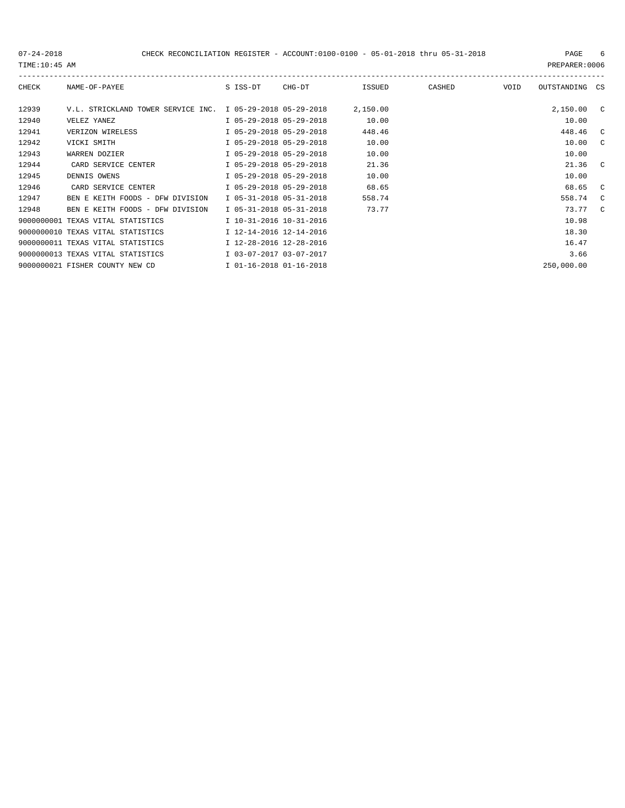------------------------------------------------------------------------------------------------------------------------------------- CHECK NAME-OF-PAYEE S ISS-DT CHG-DT ISSUED CASHED VOID OUTSTANDING CS 12939 V.L. STRICKLAND TOWER SERVICE INC. I 05-29-2018 05-29-2018 2,150.00 2,150.00 C 12940 VELEZ YANEZ I 05-29-2018 05-29-2018 10.00 10.00 12941 VERIZON WIRELESS I 05-29-2018 05-29-2018 448.46 448.46 C 12942 VICKI SMITH I 05-29-2018 05-29-2018 10.00 10.00 C 12943 WARREN DOZIER I 05-29-2018 05-29-2018 10.00 10.00 12944 CARD SERVICE CENTER 1 05-29-2018 05-29-2018 21.36 21.36 21.36 C 12945 DENNIS OWENS I 05-29-2018 05-29-2018 10.00 10.00 12946 CARD SERVICE CENTER 1 05-29-2018 05-29-2018 68.65 68.65 68.65 C 12947 BEN E KEITH FOODS - DFW DIVISION I 05-31-2018 05-31-2018 558.74 558.74 C 12948 BEN E KEITH FOODS - DFW DIVISION I 05-31-2018 05-31-2018 73.77 73.77 73.77 C 9000000001 TEXAS VITAL STATISTICS  $10-31-2016$  10-31-2016 9000000010 TEXAS VITAL STATISTICS  $12-14-2016$  12-14-2016 9000000011 TEXAS VITAL STATISTICS  $12-28-2016$  12-28-2016<br>9000000013 TEXAS VITAL STATISTICS  $103-07-2017$  03-07-2017

9000000013 TEXAS VITAL STATISTICS  $103-07-2017$   $03-07-2017$ 

9000000021 FISHER COUNTY NEW CD I 01-16-2018 01-16-2018 250,000.00